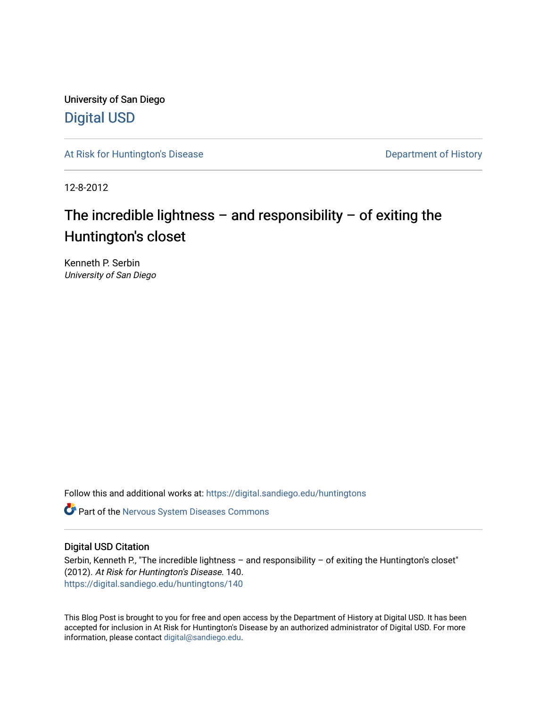University of San Diego [Digital USD](https://digital.sandiego.edu/)

[At Risk for Huntington's Disease](https://digital.sandiego.edu/huntingtons) **Department of History** Department of History

12-8-2012

# The incredible lightness – and responsibility – of exiting the Huntington's closet

Kenneth P. Serbin University of San Diego

Follow this and additional works at: [https://digital.sandiego.edu/huntingtons](https://digital.sandiego.edu/huntingtons?utm_source=digital.sandiego.edu%2Fhuntingtons%2F140&utm_medium=PDF&utm_campaign=PDFCoverPages)

**C** Part of the [Nervous System Diseases Commons](http://network.bepress.com/hgg/discipline/928?utm_source=digital.sandiego.edu%2Fhuntingtons%2F140&utm_medium=PDF&utm_campaign=PDFCoverPages)

# Digital USD Citation

Serbin, Kenneth P., "The incredible lightness - and responsibility - of exiting the Huntington's closet" (2012). At Risk for Huntington's Disease. 140. [https://digital.sandiego.edu/huntingtons/140](https://digital.sandiego.edu/huntingtons/140?utm_source=digital.sandiego.edu%2Fhuntingtons%2F140&utm_medium=PDF&utm_campaign=PDFCoverPages)

This Blog Post is brought to you for free and open access by the Department of History at Digital USD. It has been accepted for inclusion in At Risk for Huntington's Disease by an authorized administrator of Digital USD. For more information, please contact [digital@sandiego.edu.](mailto:digital@sandiego.edu)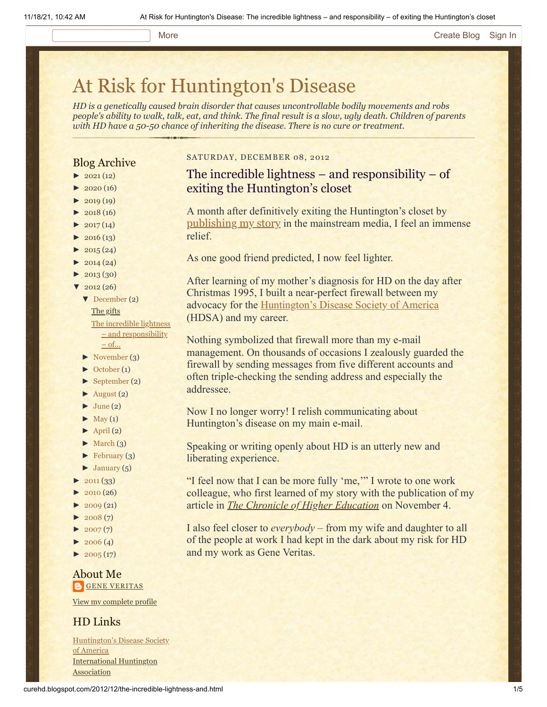#### More **[Create Blog](https://www.blogger.com/home#create) [Sign In](https://www.blogger.com/)**

# [At Risk for Huntington's Disease](http://curehd.blogspot.com/)

*HD is a genetically caused brain disorder that causes uncontrollable bodily movements and robs people's ability to walk, talk, eat, and think. The final result is a slow, ugly death. Children of parents with HD have a 50-50 chance of inheriting the disease. There is no cure or treatment.*

# Blog Archive

- $\blacktriangleright$  [2021](http://curehd.blogspot.com/2021/) (12)
- $\blacktriangleright$  [2020](http://curehd.blogspot.com/2020/) (16)
- $\blacktriangleright$  [2019](http://curehd.blogspot.com/2019/) (19)
- $\blacktriangleright$  [2018](http://curehd.blogspot.com/2018/) (16)
- $\blacktriangleright$  [2017](http://curehd.blogspot.com/2017/) (14)
- $2016(13)$  $2016(13)$
- $\blacktriangleright$  [2015](http://curehd.blogspot.com/2015/) (24)
- $\blacktriangleright$  [2014](http://curehd.blogspot.com/2014/) (24)
- $\blacktriangleright$  [2013](http://curehd.blogspot.com/2013/) (30)
- $'$  [2012](http://curehd.blogspot.com/2012/) (26)
	- [▼](javascript:void(0)) [December](http://curehd.blogspot.com/2012/12/) (2)

# The [gifts](http://curehd.blogspot.com/2012/12/the-gifts.html)

The incredible lightness – and [responsibility](http://curehd.blogspot.com/2012/12/the-incredible-lightness-and.html)  $-$  of...

- [►](javascript:void(0)) [November](http://curehd.blogspot.com/2012/11/) (3)
- [►](javascript:void(0)) [October](http://curehd.blogspot.com/2012/10/) (1)
- [►](javascript:void(0)) [September](http://curehd.blogspot.com/2012/09/) (2)
- $\blacktriangleright$  [August](http://curehd.blogspot.com/2012/08/) (2)
- $\blacktriangleright$  [June](http://curehd.blogspot.com/2012/06/) (2)
- $\blacktriangleright$  [May](http://curehd.blogspot.com/2012/05/) (1)
- $\blacktriangleright$  [April](http://curehd.blogspot.com/2012/04/) (2)
- $\blacktriangleright$  [March](http://curehd.blogspot.com/2012/03/) (3)
- $\blacktriangleright$  [February](http://curehd.blogspot.com/2012/02/) (3)
- $\blacktriangleright$  [January](http://curehd.blogspot.com/2012/01/) (5)
- $\blacktriangleright$  [2011](http://curehd.blogspot.com/2011/) (33)
- $2010(26)$  $2010(26)$
- $\blacktriangleright$  [2009](http://curehd.blogspot.com/2009/) $(21)$
- $2008(7)$  $2008(7)$
- $2007(7)$  $2007(7)$
- $\blacktriangleright$  [2006](http://curehd.blogspot.com/2006/) (4)
- $\blacktriangleright$  [2005](http://curehd.blogspot.com/2005/) (17)

### About Me **GENE [VERITAS](https://www.blogger.com/profile/10911736205741688185)**

View my [complete](https://www.blogger.com/profile/10911736205741688185) profile

# HD Links

[Huntington's](http://www.hdsa.org/) Disease Society of America [International](http://www.huntington-assoc.com/) Huntington **Association** 

SATURDAY, DECEMBER 08, 2012

# The incredible lightness – and responsibility – of exiting the Huntington's closet

A month after definitively exiting the Huntington's closet by [publishing my story](http://curehd.blogspot.com/2012/11/the-definitive-step-out-of-huntingtons.html) in the mainstream media, I feel an immense relief.

As one good friend predicted, I now feel lighter.

After learning of my mother's diagnosis for HD on the day after Christmas 1995, I built a near-perfect firewall between my advocacy for the **[Huntington's Disease Society of America](http://www.hdsa.org/)** (HDSA) and my career.

Nothing symbolized that firewall more than my e-mail management. On thousands of occasions I zealously guarded the firewall by sending messages from five different accounts and often triple-checking the sending address and especially the addressee.

Now I no longer worry! I relish communicating about Huntington's disease on my main e-mail.

Speaking or writing openly about HD is an utterly new and liberating experience.

"I feel now that I can be more fully 'me,'" I wrote to one work colleague, who first learned of my story with the publication of my article in *[The Chronicle of Higher Education](http://chronicle.com/article/Racing-Against-the-Genetic/135542/)* on November 4.

I also feel closer to *everybody* – from my wife and daughter to all of the people at work I had kept in the dark about my risk for HD and my work as Gene Veritas.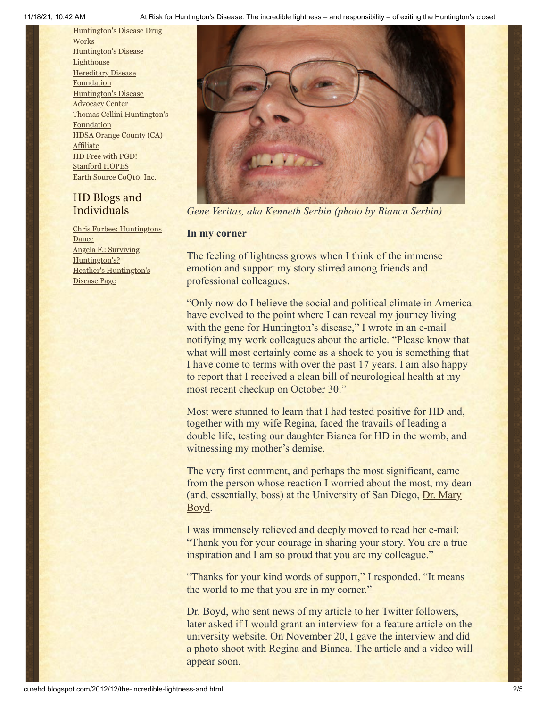11/18/21, 10:42 AM At Risk for Huntington's Disease: The incredible lightness – and responsibility – of exiting the Huntington's closet

[Huntington's](http://hddrugworks.org/) Disease Drug **Works** [Huntington's](http://www.hdlighthouse.org/) Disease **Lighthouse Hereditary Disease [Foundation](http://www.hdfoundation.org/)** [Huntington's](http://www.hdac.org/) Disease **Advocacy Center** Thomas [Cellini Huntington's](http://www.ourtchfoundation.org/) Foundation HDSA Orange County (CA) **[Affiliate](http://www.hdsaoc.org/)** HD Free with [PGD!](http://www.hdfreewithpgd.com/) [Stanford](http://www.stanford.edu/group/hopes/) HOPES Earth Source [CoQ10,](http://www.escoq10.com/) Inc.

# HD Blogs and Individuals

Chris Furbee: [Huntingtons](http://www.huntingtonsdance.org/) Dance Angela F.: Surviving [Huntington's?](http://survivinghuntingtons.blogspot.com/) Heather's [Huntington's](http://heatherdugdale.angelfire.com/) Disease Page



*Gene Veritas, aka Kenneth Serbin (photo by Bianca Serbin)*

# **In my corner**

The feeling of lightness grows when I think of the immense emotion and support my story stirred among friends and professional colleagues.

"Only now do I believe the social and political climate in America have evolved to the point where I can reveal my journey living with the gene for Huntington's disease," I wrote in an e-mail notifying my work colleagues about the article. "Please know that what will most certainly come as a shock to you is something that I have come to terms with over the past 17 years. I am also happy to report that I received a clean bill of neurological health at my most recent checkup on October 30."

Most were stunned to learn that I had tested positive for HD and, together with my wife Regina, faced the travails of leading a double life, testing our daughter Bianca for HD in the womb, and witnessing my mother's demise.

The very first comment, and perhaps the most significant, came from the person whose reaction I worried about the most, my dean [\(and, essentially, boss\) at the University of San Diego, Dr. Mary](http://www.sandiego.edu/cas/about_the_college/dean/) Boyd.

I was immensely relieved and deeply moved to read her e-mail: "Thank you for your courage in sharing your story. You are a true inspiration and I am so proud that you are my colleague."

"Thanks for your kind words of support," I responded. "It means the world to me that you are in my corner."

Dr. Boyd, who sent news of my article to her Twitter followers, later asked if I would grant an interview for a feature article on the university website. On November 20, I gave the interview and did a photo shoot with Regina and Bianca. The article and a video will appear soon.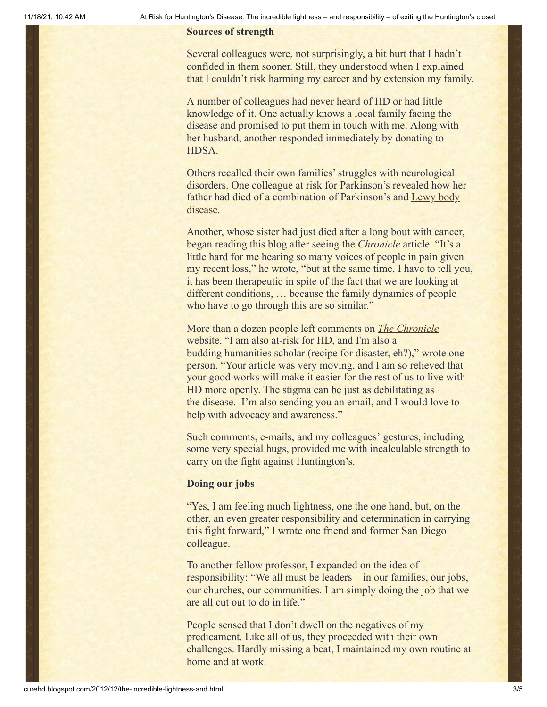### **Sources of strength**

Several colleagues were, not surprisingly, a bit hurt that I hadn't confided in them sooner. Still, they understood when I explained that I couldn't risk harming my career and by extension my family.

A number of colleagues had never heard of HD or had little knowledge of it. One actually knows a local family facing the disease and promised to put them in touch with me. Along with her husband, another responded immediately by donating to HDSA.

Others recalled their own families'struggles with neurological disorders. One colleague at risk for Parkinson's revealed how her [father had died of a combination of Parkinson's and Lewy body](http://www.nlm.nih.gov/medlineplus/lewybodydisease.html) disease.

Another, whose sister had just died after a long bout with cancer, began reading this blog after seeing the *Chronicle* article. "It's a little hard for me hearing so many voices of people in pain given my recent loss," he wrote, "but at the same time, I have to tell you, it has been therapeutic in spite of the fact that we are looking at different conditions, … because the family dynamics of people who have to go through this are so similar."

More than a dozen people left comments on *[The Chronicle](http://chronicle.com/article/Racing-Against-the-Genetic/135542/)* website. "I am also at-risk for HD, and I'm also a budding humanities scholar (recipe for disaster, eh?)," wrote one person. "Your article was very moving, and I am so relieved that your good works will make it easier for the rest of us to live with HD more openly. The stigma can be just as debilitating as the disease. I'm also sending you an email, and I would love to help with advocacy and awareness."

Such comments, e-mails, and my colleagues' gestures, including some very special hugs, provided me with incalculable strength to carry on the fight against Huntington's.

## **Doing our jobs**

"Yes, I am feeling much lightness, one the one hand, but, on the other, an even greater responsibility and determination in carrying this fight forward," I wrote one friend and former San Diego colleague.

To another fellow professor, I expanded on the idea of responsibility: "We all must be leaders – in our families, our jobs, our churches, our communities. I am simply doing the job that we are all cut out to do in life."

People sensed that I don't dwell on the negatives of my predicament. Like all of us, they proceeded with their own challenges. Hardly missing a beat, I maintained my own routine at home and at work.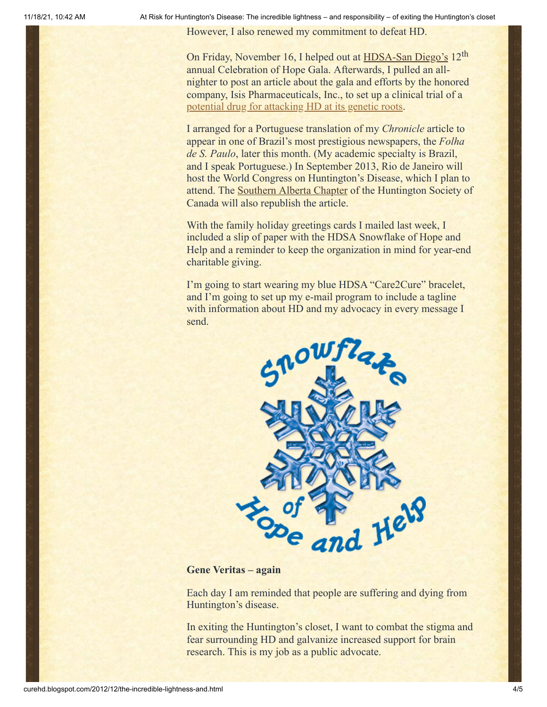However, I also renewed my commitment to defeat HD.

On Friday, November 16, I helped out at **[HDSA-San Diego's](http://www.hdsasandiego.org/)** 12<sup>th</sup> annual Celebration of Hope Gala. Afterwards, I pulled an allnighter to post an article about the gala and efforts by the honored company, Isis Pharmaceuticals, Inc., to set up a clinical trial of a [potential drug for attacking HD at its genetic roots.](http://curehd.blogspot.com/2012/11/designing-best-drug-possible-to-defeat_17.html)

I arranged for a Portuguese translation of my *Chronicle* article to appear in one of Brazil's most prestigious newspapers, the *Folha de S. Paulo*, later this month. (My academic specialty is Brazil, and I speak Portuguese.) In September 2013, Rio de Janeiro will host the World Congress on Huntington's Disease, which I plan to attend. The **[Southern Alberta Chapter](http://curehd.wordpress.com/)** of the Huntington Society of Canada will also republish the article.

With the family holiday greetings cards I mailed last week, I included a slip of paper with the HDSA Snowflake of Hope and Help and a reminder to keep the organization in mind for year-end charitable giving.

I'm going to start wearing my blue HDSA "Care2Cure" bracelet, and I'm going to set up my e-mail program to include a tagline with information about HD and my advocacy in every message I send.



## **Gene Veritas – again**

Each day I am reminded that people are suffering and dying from Huntington's disease.

In exiting the Huntington's closet, I want to combat the stigma and fear surrounding HD and galvanize increased support for brain research. This is my job as a public advocate.